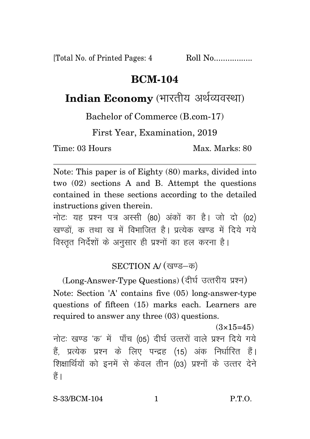[Total No. of Printed Pages: 4 Roll No..................

## **BCM-104**

## Indian Economy (भारतीय अर्थव्यवस्था)

Bachelor of Commerce (B.com-17)

First Year, Examination, 2019

Time: 03 Hours Max. Marks: 80

Note: This paper is of Eighty (80) marks, divided into two (02) sections A and B. Attempt the questions contained in these sections according to the detailed instructions given therein.

नोट: यह प्रश्न पत्र अस्सी (80) अंकों का है। जो दो (02) खण्डों, क तथा ख में विभाजित है। प्रत्येक खण्ड में दिये गये विस्तृत निर्देशों के अनुसार ही प्रश्नों का हल करना है।

## SECTION A/ (खण्ड-क)

(Long-Answer-Type Questions) (दीर्घ उत्तरीय प्रश्न) Note: Section 'A' contains five (05) long-answer-type questions of fifteen (15) marks each. Learners are required to answer any three (03) questions.

 $(3\times15=45)$ नोटः खण्ड 'क' में पाँच (05) दीर्घ उत्तरों वाले प्रश्न दिये गये हैं, प्रत्येक प्रश्न के लिए पन्द्रह (15) अंक निर्धारित हैं। शिक्षार्थियों को इनमें से केवल तीन (03) प्रश्नों के उत्तर देने हैं ।

S-33/BCM-104 1 P.T.O.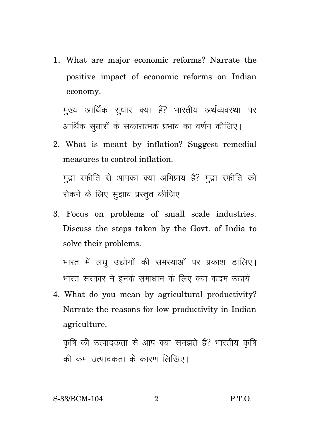1. What are major economic reforms? Narrate the positive impact of economic reforms on Indian economy.

मुख्य आर्थिक सुधार क्या हैं? भारतीय अर्थव्यवस्था पर आर्थिक सुधारों के सकारात्मक प्रभाव का वर्णन कीजिए।

- 2. What is meant by inflation? Suggest remedial measures to control inflation. मुद्रा स्फीति से आपका क्या अभिप्राय है? मुद्रा स्फीति को रोकने के लिए सुझाव प्रस्तुत कीजिए।
- 3. Focus on problems of small scale industries. Discuss the steps taken by the Govt. of India to solve their problems.

भारत में लघू उद्योगों की समस्याओं पर प्रकाश डालिए। भारत सरकार ने इनके समाधान के लिए क्या कदम उठाये

4. What do you mean by agricultural productivity? Narrate the reasons for low productivity in Indian agriculture.

कृषि की उत्पादकता से आप क्या समझते हैं? भारतीय कृषि की कम उत्पादकता के कारण लिखिए।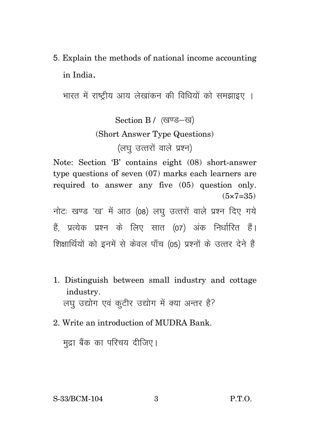5. Explain the methods of national income accounting in India.

भारत में राष्टीय आय लेखांकन की विधियों को समझाइए ।

Section B / (खण्ड-ख) (Short Answer Type Questions) (लघ उत्तरों वाले प्रश्न)

Note: Section 'B' contains eight (08) short-answer type questions of seven (07) marks each learners are required to answer any five (05) question only.  $(5 \times 7 = 35)$ 

नोटः खण्ड 'ख' में आठ (08) लघु उत्तरों वाले प्रश्न दिए गये हैं. प्रत्येक प्रश्न के लिए सात (07) अंक निर्धारित हैं। शिक्षार्थियों को इनमें से केवल पाँच (05) प्रश्नों के उत्तर देने हैं

- 1. Distinguish between small industry and cottage industry. लघु उद्योग एवं कूटीर उद्योग में क्या अन्तर है?
- 2. Write an introduction of MUDRA Bank.

मुद्रा बैंक का परिचय दीजिए।